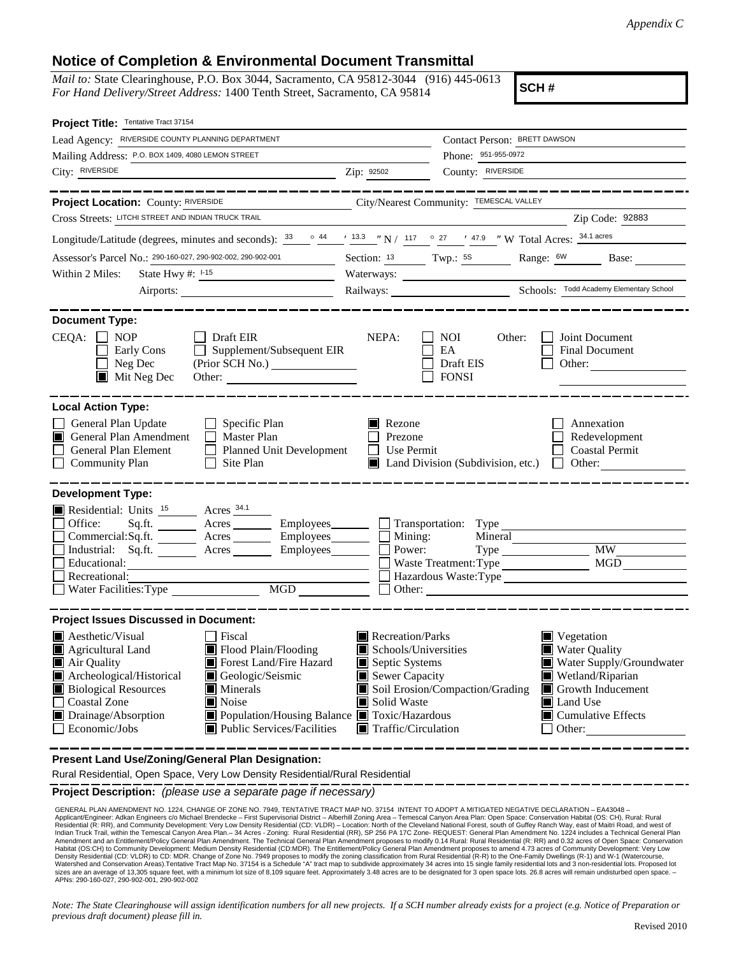## **Notice of Completion & Environmental Document Transmittal**

*Mail to:* State Clearinghouse, P.O. Box 3044, Sacramento, CA 95812-3044 (916) 445-0613 *For Hand Delivery/Street Address:* 1400 Tenth Street, Sacramento, CA 95814

**SCH #**

| Project Title: Tentative Tract 37154                                                                                                                                                                                                                                                                                                                                                                      |                                                 |                                                                                                                                                                                                                                                                                                              |  |
|-----------------------------------------------------------------------------------------------------------------------------------------------------------------------------------------------------------------------------------------------------------------------------------------------------------------------------------------------------------------------------------------------------------|-------------------------------------------------|--------------------------------------------------------------------------------------------------------------------------------------------------------------------------------------------------------------------------------------------------------------------------------------------------------------|--|
| Lead Agency: RIVERSIDE COUNTY PLANNING DEPARTMENT                                                                                                                                                                                                                                                                                                                                                         |                                                 | Contact Person: BRETT DAWSON                                                                                                                                                                                                                                                                                 |  |
| Mailing Address: P.O. BOX 1409, 4080 LEMON STREET                                                                                                                                                                                                                                                                                                                                                         |                                                 | Phone: 951-955-0972                                                                                                                                                                                                                                                                                          |  |
| City: RIVERSIDE                                                                                                                                                                                                                                                                                                                                                                                           | Zip: 92502                                      | County: RIVERSIDE                                                                                                                                                                                                                                                                                            |  |
| _____________                                                                                                                                                                                                                                                                                                                                                                                             |                                                 | ---------------                                                                                                                                                                                                                                                                                              |  |
| Project Location: County: RIVERSIDE                                                                                                                                                                                                                                                                                                                                                                       |                                                 | City/Nearest Community: TEMESCAL VALLEY                                                                                                                                                                                                                                                                      |  |
| Cross Streets: LITCHI STREET AND INDIAN TRUCK TRAIL                                                                                                                                                                                                                                                                                                                                                       |                                                 | Zip Code: 92883                                                                                                                                                                                                                                                                                              |  |
| Longitude/Latitude (degrees, minutes and seconds): $\frac{33}{2}$ $\frac{44}{13.3}$ $\frac{13.3}{13.3}$ $\frac{17}{117}$ $\frac{17}{117}$ $\frac{17}{117}$ $\frac{17.9}{17}$ $\frac{17.9}{17}$ $\frac{17.9}{17}$ $\frac{17.9}{17}$ $\frac{17.9}{17}$ $\frac{17.9}{17}$ $\frac{17.$                                                                                                                        |                                                 |                                                                                                                                                                                                                                                                                                              |  |
| Assessor's Parcel No.: 290-160-027, 290-902-002, 290-902-001                                                                                                                                                                                                                                                                                                                                              |                                                 | Section: 13 Twp.: 58 Range: 6W Base: ______                                                                                                                                                                                                                                                                  |  |
| Within 2 Miles:<br>State Hwy #: $1-15$                                                                                                                                                                                                                                                                                                                                                                    |                                                 |                                                                                                                                                                                                                                                                                                              |  |
| Airports:                                                                                                                                                                                                                                                                                                                                                                                                 |                                                 |                                                                                                                                                                                                                                                                                                              |  |
| <b>Document Type:</b><br>$CEQA: \Box NOP$<br>$\Box$ Draft EIR<br>$\Box$ Supplement/Subsequent EIR<br>Early Cons<br>Neg Dec<br>(Prior SCH No.)<br>$\blacksquare$<br>$\blacksquare$ Mit Neg Dec                                                                                                                                                                                                             | NEPA:                                           | Joint Document<br>NOI<br>Other:<br>EA<br><b>Final Document</b><br>Draft EIS<br>Other: $\qquad \qquad$<br><b>FONSI</b>                                                                                                                                                                                        |  |
| <b>Local Action Type:</b><br>General Plan Update<br>$\Box$ Specific Plan<br>General Plan Amendment<br>$\Box$ Master Plan<br>General Plan Element<br>Planned Unit Development<br><b>Community Plan</b><br>Site Plan<br>$\perp$                                                                                                                                                                             | Rezone<br>ш<br>Prezone<br>Use Permit<br>$\perp$ | Annexation<br>Redevelopment<br><b>Coastal Permit</b><br>Land Division (Subdivision, etc.) $\Box$<br>Other:                                                                                                                                                                                                   |  |
| <b>Development Type:</b><br>Residential: Units <sup>15</sup> Acres <sup>34.1</sup><br>Sq.ft. ________ Acres __________ Employees ________ __ Transportation: Type ___________<br>Office:<br>Commercial:Sq.ft. ________ Acres __________ Employees_________ $\Box$<br>Industrial: Sq.ft. _______ Acres _______ Employees_______<br>Educational:<br>Recreational:<br>Water Facilities: Type MGD             | Mining:<br>Power:                               | Mineral<br><b>MW</b><br><b>MGD</b><br>Waste Treatment: Type<br>Hazardous Waste: Type<br>$\Box$ Other: $\Box$                                                                                                                                                                                                 |  |
| <b>Project Issues Discussed in Document:</b>                                                                                                                                                                                                                                                                                                                                                              |                                                 |                                                                                                                                                                                                                                                                                                              |  |
| <b>A</b> esthetic/Visual<br><b>Fiscal</b><br>Flood Plain/Flooding<br>Agricultural Land<br>Forest Land/Fire Hazard<br>Air Quality<br>Archeological/Historical<br>Geologic/Seismic<br><b>Biological Resources</b><br><b>Minerals</b><br>Noise<br><b>Coastal Zone</b><br>Drainage/Absorption<br>■ Population/Housing Balance ■ Toxic/Hazardous<br>Economic/Jobs<br>$\blacksquare$ Public Services/Facilities | Solid Waste                                     | Recreation/Parks<br>Vegetation<br>Schools/Universities<br><b>Water Quality</b><br>Water Supply/Groundwater<br>Septic Systems<br>Wetland/Riparian<br>Sewer Capacity<br>Soil Erosion/Compaction/Grading<br>Growth Inducement<br>Land Use<br>Cumulative Effects<br>$\blacksquare$ Traffic/Circulation<br>Other: |  |

**Present Land Use/Zoning/General Plan Designation:**

Rural Residential, Open Space, Very Low Density Residential/Rural Residential

**Project Description:** *(please use a separate page if necessary)*

 GENERAL PLAN AMENDMENT NO. 1224, CHANGE OF ZONE NO. 7949, TENTATIVE TRACT MAP NO. 37154 INTENT TO ADOPT A MITIGATED NEGATIVE DECLARATION – EA43048 – Applicant/Engineer: Adkan Engineers c/o Michael Brendecke – First Supervisorial District – Alberhill Zoning Area – Temescal Canyon Area Plan: Open Space: Conservation Habitat (OS: CH), Rural: Rural<br>Residential (R: RR), an Indian Truck Trail, within the Temescal Canyon Area Plan.– 34 Acres - Zoning: Rural Residential (RR), SP 256 PA 17C Zone- REQUEST: General Plan Amendment No. 1224 includes a Technical General Plan<br>Amendment and an Entitlem Habitat (OS:CH) to Community Development: Medium Density Residential (CD:MDR). The Entitlement/Policy General Plan Amendment proposes to amend 4.73 acres of Community Development: Very Low Density Residential (CD: VLDR) to CD: MDR. Change of Zone No. 7949 proposes to modify the zoning classification from Rural Residential (R-R) to the One-Family Dwellings (R-1) and W-1 (Watercourse,<br>Watershed and Conservatio sizes are an average of 13,305 square feet, with a minimum lot size of 8,109 square feet. Approximately 3.48 acres are to be designated for 3 open space lots. 26.8 acres will remain undisturbed open space. –<br>APNs: 290-160-

*Note: The State Clearinghouse will assign identification numbers for all new projects. If a SCH number already exists for a project (e.g. Notice of Preparation or previous draft document) please fill in.*